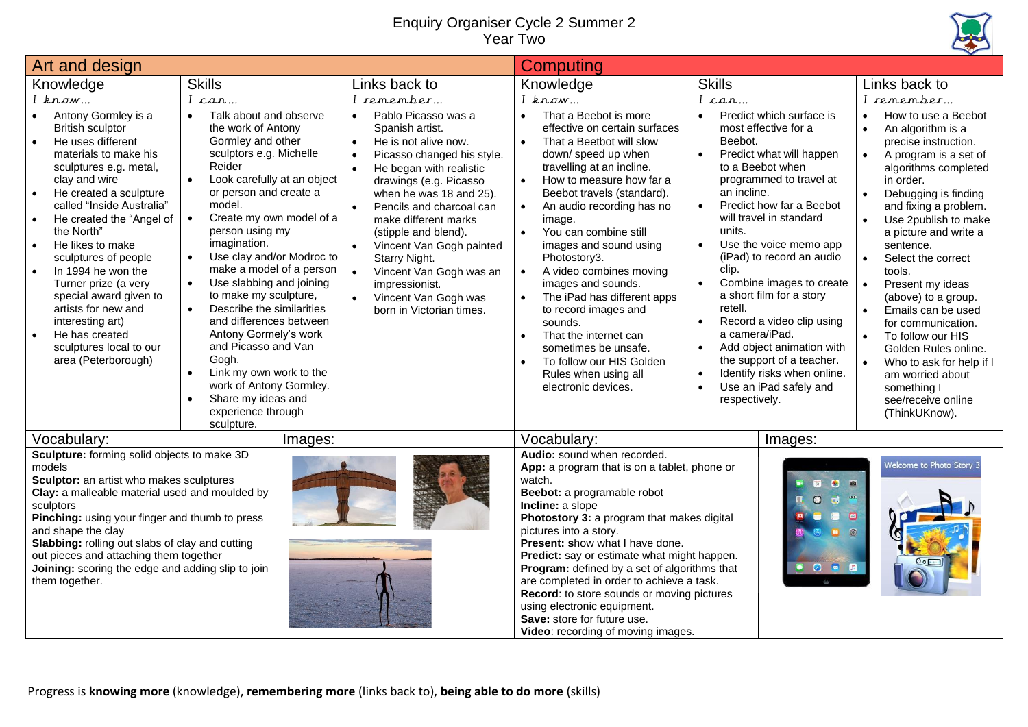## Enquiry Organiser Cycle 2 Summer 2 Year Two



| Art and design                                                                                                                                                                                                                                                                                                                                                                                                                                                                           |                                                                                                                                                                                                                                                                                                                                                                                                                                                                                                                                                                                                                                                                                                 |                                                                                                                                                                                                                                                                                                                                                                                                                                                            | <b>Computing</b>                                                                                                                                                                                                                                                                                                                                                                                                                                                                                                                                                                                                           |                                                                                                                                                                                                                                                                                                                                                                                                                                                                                                                                                                                                                                                      |                                                                                                                                                                                                                                                                                                                                                                                                                                                                                                                                                                                                                    |
|------------------------------------------------------------------------------------------------------------------------------------------------------------------------------------------------------------------------------------------------------------------------------------------------------------------------------------------------------------------------------------------------------------------------------------------------------------------------------------------|-------------------------------------------------------------------------------------------------------------------------------------------------------------------------------------------------------------------------------------------------------------------------------------------------------------------------------------------------------------------------------------------------------------------------------------------------------------------------------------------------------------------------------------------------------------------------------------------------------------------------------------------------------------------------------------------------|------------------------------------------------------------------------------------------------------------------------------------------------------------------------------------------------------------------------------------------------------------------------------------------------------------------------------------------------------------------------------------------------------------------------------------------------------------|----------------------------------------------------------------------------------------------------------------------------------------------------------------------------------------------------------------------------------------------------------------------------------------------------------------------------------------------------------------------------------------------------------------------------------------------------------------------------------------------------------------------------------------------------------------------------------------------------------------------------|------------------------------------------------------------------------------------------------------------------------------------------------------------------------------------------------------------------------------------------------------------------------------------------------------------------------------------------------------------------------------------------------------------------------------------------------------------------------------------------------------------------------------------------------------------------------------------------------------------------------------------------------------|--------------------------------------------------------------------------------------------------------------------------------------------------------------------------------------------------------------------------------------------------------------------------------------------------------------------------------------------------------------------------------------------------------------------------------------------------------------------------------------------------------------------------------------------------------------------------------------------------------------------|
| Knowledge                                                                                                                                                                                                                                                                                                                                                                                                                                                                                | <b>Skills</b>                                                                                                                                                                                                                                                                                                                                                                                                                                                                                                                                                                                                                                                                                   | Links back to                                                                                                                                                                                                                                                                                                                                                                                                                                              | Knowledge                                                                                                                                                                                                                                                                                                                                                                                                                                                                                                                                                                                                                  | <b>Skills</b>                                                                                                                                                                                                                                                                                                                                                                                                                                                                                                                                                                                                                                        | Links back to                                                                                                                                                                                                                                                                                                                                                                                                                                                                                                                                                                                                      |
| I know                                                                                                                                                                                                                                                                                                                                                                                                                                                                                   | I can                                                                                                                                                                                                                                                                                                                                                                                                                                                                                                                                                                                                                                                                                           | I remember                                                                                                                                                                                                                                                                                                                                                                                                                                                 | I know                                                                                                                                                                                                                                                                                                                                                                                                                                                                                                                                                                                                                     | I can                                                                                                                                                                                                                                                                                                                                                                                                                                                                                                                                                                                                                                                | I remember                                                                                                                                                                                                                                                                                                                                                                                                                                                                                                                                                                                                         |
| Antony Gormley is a<br><b>British sculptor</b><br>He uses different<br>materials to make his<br>sculptures e.g. metal,<br>clay and wire<br>He created a sculpture<br>$\bullet$<br>called "Inside Australia"<br>He created the "Angel of<br>the North"<br>He likes to make<br>sculptures of people<br>In 1994 he won the<br>Turner prize (a very<br>special award given to<br>artists for new and<br>interesting art)<br>He has created<br>sculptures local to our<br>area (Peterborough) | Talk about and observe<br>$\bullet$<br>the work of Antony<br>Gormley and other<br>sculptors e.g. Michelle<br>Reider<br>Look carefully at an object<br>$\bullet$<br>or person and create a<br>model.<br>$\bullet$<br>Create my own model of a<br>person using my<br>imagination.<br>Use clay and/or Modroc to<br>$\bullet$<br>make a model of a person<br>$\bullet$<br>Use slabbing and joining<br>to make my sculpture,<br>Describe the similarities<br>$\bullet$<br>and differences between<br>Antony Gormely's work<br>and Picasso and Van<br>Gogh.<br>Link my own work to the<br>$\bullet$<br>work of Antony Gormley.<br>Share my ideas and<br>$\bullet$<br>experience through<br>sculpture. | Pablo Picasso was a<br>$\bullet$<br>Spanish artist.<br>He is not alive now.<br>$\bullet$<br>Picasso changed his style.<br>He began with realistic<br>drawings (e.g. Picasso<br>when he was 18 and 25).<br>Pencils and charcoal can<br>make different marks<br>(stipple and blend).<br>Vincent Van Gogh painted<br>Starry Night.<br>$\bullet$<br>Vincent Van Gogh was an<br>impressionist.<br>$\bullet$<br>Vincent Van Gogh was<br>born in Victorian times. | That a Beebot is more<br>$\bullet$<br>effective on certain surfaces<br>That a Beetbot will slow<br>$\bullet$<br>down/ speed up when<br>travelling at an incline.<br>How to measure how far a<br>$\bullet$<br>Beebot travels (standard).<br>An audio recording has no<br>image.<br>You can combine still<br>$\bullet$<br>images and sound using<br>Photostory3.<br>A video combines moving<br>images and sounds.<br>The iPad has different apps<br>to record images and<br>sounds.<br>That the internet can<br>$\bullet$<br>sometimes be unsafe.<br>To follow our HIS Golden<br>Rules when using all<br>electronic devices. | Predict which surface is<br>$\bullet$<br>most effective for a<br>Beebot.<br>Predict what will happen<br>$\bullet$<br>to a Beebot when<br>programmed to travel at<br>an incline.<br>Predict how far a Beebot<br>$\bullet$<br>will travel in standard<br>units.<br>Use the voice memo app<br>$\bullet$<br>(iPad) to record an audio<br>clip.<br>$\bullet$<br>Combine images to create<br>a short film for a story<br>retell.<br>Record a video clip using<br>$\bullet$<br>a camera/iPad.<br>Add object animation with<br>$\bullet$<br>the support of a teacher.<br>Identify risks when online.<br>$\bullet$<br>Use an iPad safely and<br>respectively. | How to use a Beebot<br>$\bullet$<br>$\bullet$<br>An algorithm is a<br>precise instruction.<br>$\bullet$<br>A program is a set of<br>algorithms completed<br>in order.<br>Debugging is finding<br>$\bullet$<br>and fixing a problem.<br>Use 2publish to make<br>a picture and write a<br>sentence.<br>$\bullet$<br>Select the correct<br>tools.<br>Present my ideas<br>(above) to a group.<br>Emails can be used<br>$\bullet$<br>for communication.<br>$\bullet$<br>To follow our HIS<br>Golden Rules online.<br>Who to ask for help if I<br>am worried about<br>something I<br>see/receive online<br>(ThinkUKnow). |
| Vocabulary:                                                                                                                                                                                                                                                                                                                                                                                                                                                                              | Images:                                                                                                                                                                                                                                                                                                                                                                                                                                                                                                                                                                                                                                                                                         |                                                                                                                                                                                                                                                                                                                                                                                                                                                            | Vocabulary:                                                                                                                                                                                                                                                                                                                                                                                                                                                                                                                                                                                                                | Images:                                                                                                                                                                                                                                                                                                                                                                                                                                                                                                                                                                                                                                              |                                                                                                                                                                                                                                                                                                                                                                                                                                                                                                                                                                                                                    |
| Sculpture: forming solid objects to make 3D<br>models<br>Sculptor: an artist who makes sculptures<br>Clay: a malleable material used and moulded by<br>sculptors<br>Pinching: using your finger and thumb to press<br>and shape the clay<br>Slabbing: rolling out slabs of clay and cutting<br>out pieces and attaching them together<br>Joining: scoring the edge and adding slip to join<br>them together.                                                                             |                                                                                                                                                                                                                                                                                                                                                                                                                                                                                                                                                                                                                                                                                                 |                                                                                                                                                                                                                                                                                                                                                                                                                                                            | Audio: sound when recorded.<br>App: a program that is on a tablet, phone or<br>watch.<br>Beebot: a programable robot<br>Incline: a slope<br>Photostory 3: a program that makes digital<br>pictures into a story.<br>Present: show what I have done.<br>Predict: say or estimate what might happen.<br>Program: defined by a set of algorithms that<br>are completed in order to achieve a task.<br>Record: to store sounds or moving pictures<br>using electronic equipment.<br>Save: store for future use.<br>Video: recording of moving images.                                                                          | $\blacksquare$<br>$\bullet$<br>a<br>$\mathbf{m}$<br>$\bullet$<br>$\Box$<br>$\blacksquare$<br>1988<br>$^{\circ}$<br>۰<br><b>OF</b>                                                                                                                                                                                                                                                                                                                                                                                                                                                                                                                    | Nelcome to Photo Story 3                                                                                                                                                                                                                                                                                                                                                                                                                                                                                                                                                                                           |